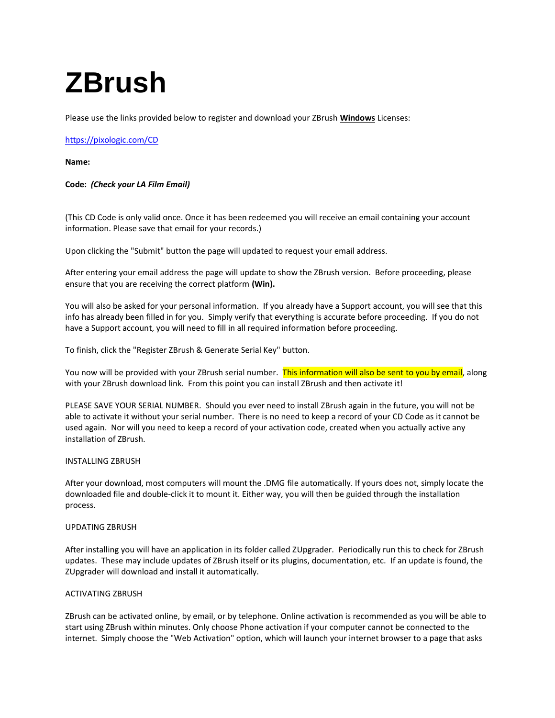# **ZBrush**

Please use the links provided below to register and download your ZBrush **Windows** Licenses:

# <https://pixologic.com/CD>

**Name:** 

**Code:** *(Check your LA Film Email)*

(This CD Code is only valid once. Once it has been redeemed you will receive an email containing your account information. Please save that email for your records.)

Upon clicking the "Submit" button the page will updated to request your email address.

After entering your email address the page will update to show the ZBrush version. Before proceeding, please ensure that you are receiving the correct platform **(Win).**

You will also be asked for your personal information. If you already have a Support account, you will see that this info has already been filled in for you. Simply verify that everything is accurate before proceeding. If you do not have a Support account, you will need to fill in all required information before proceeding.

To finish, click the "Register ZBrush & Generate Serial Key" button.

You now will be provided with your ZBrush serial number. This information will also be sent to you by email, along with your ZBrush download link. From this point you can install ZBrush and then activate it!

PLEASE SAVE YOUR SERIAL NUMBER. Should you ever need to install ZBrush again in the future, you will not be able to activate it without your serial number. There is no need to keep a record of your CD Code as it cannot be used again. Nor will you need to keep a record of your activation code, created when you actually active any installation of ZBrush.

## INSTALLING ZBRUSH

After your download, most computers will mount the .DMG file automatically. If yours does not, simply locate the downloaded file and double-click it to mount it. Either way, you will then be guided through the installation process.

### UPDATING ZBRUSH

After installing you will have an application in its folder called ZUpgrader. Periodically run this to check for ZBrush updates. These may include updates of ZBrush itself or its plugins, documentation, etc. If an update is found, the ZUpgrader will download and install it automatically.

## ACTIVATING ZBRUSH

ZBrush can be activated online, by email, or by telephone. Online activation is recommended as you will be able to start using ZBrush within minutes. Only choose Phone activation if your computer cannot be connected to the internet. Simply choose the "Web Activation" option, which will launch your internet browser to a page that asks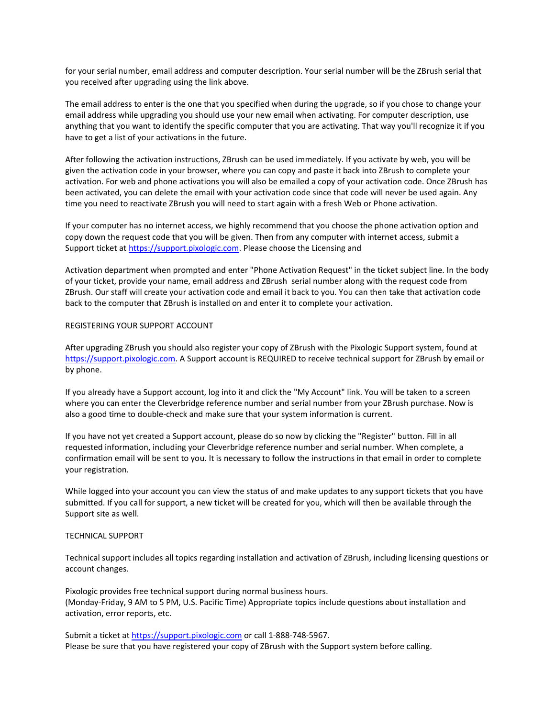for your serial number, email address and computer description. Your serial number will be the ZBrush serial that you received after upgrading using the link above.

The email address to enter is the one that you specified when during the upgrade, so if you chose to change your email address while upgrading you should use your new email when activating. For computer description, use anything that you want to identify the specific computer that you are activating. That way you'll recognize it if you have to get a list of your activations in the future.

After following the activation instructions, ZBrush can be used immediately. If you activate by web, you will be given the activation code in your browser, where you can copy and paste it back into ZBrush to complete your activation. For web and phone activations you will also be emailed a copy of your activation code. Once ZBrush has been activated, you can delete the email with your activation code since that code will never be used again. Any time you need to reactivate ZBrush you will need to start again with a fresh Web or Phone activation.

If your computer has no internet access, we highly recommend that you choose the phone activation option and copy down the request code that you will be given. Then from any computer with internet access, submit a Support ticket at [https://support.pixologic.com.](https://support.pixologic.com/) Please choose the Licensing and

Activation department when prompted and enter "Phone Activation Request" in the ticket subject line. In the body of your ticket, provide your name, email address and ZBrush serial number along with the request code from ZBrush. Our staff will create your activation code and email it back to you. You can then take that activation code back to the computer that ZBrush is installed on and enter it to complete your activation.

#### REGISTERING YOUR SUPPORT ACCOUNT

After upgrading ZBrush you should also register your copy of ZBrush with the Pixologic Support system, found at [https://support.pixologic.com.](https://support.pixologic.com/) A Support account is REQUIRED to receive technical support for ZBrush by email or by phone.

If you already have a Support account, log into it and click the "My Account" link. You will be taken to a screen where you can enter the Cleverbridge reference number and serial number from your ZBrush purchase. Now is also a good time to double-check and make sure that your system information is current.

If you have not yet created a Support account, please do so now by clicking the "Register" button. Fill in all requested information, including your Cleverbridge reference number and serial number. When complete, a confirmation email will be sent to you. It is necessary to follow the instructions in that email in order to complete your registration.

While logged into your account you can view the status of and make updates to any support tickets that you have submitted. If you call for support, a new ticket will be created for you, which will then be available through the Support site as well.

#### TECHNICAL SUPPORT

Technical support includes all topics regarding installation and activation of ZBrush, including licensing questions or account changes.

Pixologic provides free technical support during normal business hours. (Monday-Friday, 9 AM to 5 PM, U.S. Pacific Time) Appropriate topics include questions about installation and activation, error reports, etc.

Submit a ticket a[t https://support.pixologic.com](https://support.pixologic.com/) or call 1-888-748-5967. Please be sure that you have registered your copy of ZBrush with the Support system before calling.